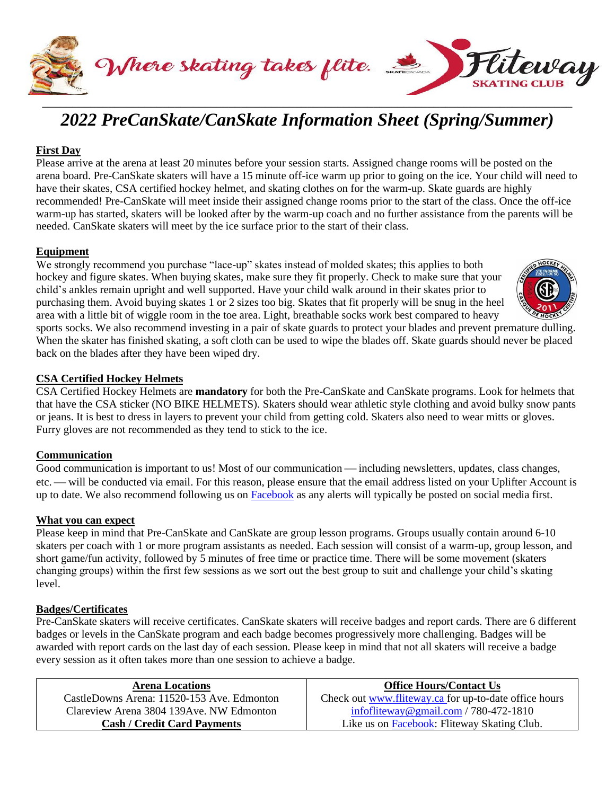



### **First Day**

Please arrive at the arena at least 20 minutes before your session starts. Assigned change rooms will be posted on the arena board. Pre-CanSkate skaters will have a 15 minute off-ice warm up prior to going on the ice. Your child will need to have their skates, CSA certified hockey helmet, and skating clothes on for the warm-up. Skate guards are highly recommended! Pre-CanSkate will meet inside their assigned change rooms prior to the start of the class. Once the off-ice warm-up has started, skaters will be looked after by the warm-up coach and no further assistance from the parents will be needed. CanSkate skaters will meet by the ice surface prior to the start of their class.

### **Equipment**

We strongly recommend you purchase "lace-up" skates instead of molded skates; this applies to both hockey and figure skates. When buying skates, make sure they fit properly. Check to make sure that your child's ankles remain upright and well supported. Have your child walk around in their skates prior to purchasing them. Avoid buying skates 1 or 2 sizes too big. Skates that fit properly will be snug in the heel area with a little bit of wiggle room in the toe area. Light, breathable socks work best compared to heavy



sports socks. We also recommend investing in a pair of skate guards to protect your blades and prevent premature dulling. When the skater has finished skating, a soft cloth can be used to wipe the blades off. Skate guards should never be placed back on the blades after they have been wiped dry.

### **CSA Certified Hockey Helmets**

CSA Certified Hockey Helmets are **mandatory** for both the Pre-CanSkate and CanSkate programs. Look for helmets that that have the CSA sticker (NO BIKE HELMETS). Skaters should wear athletic style clothing and avoid bulky snow pants or jeans. It is best to dress in layers to prevent your child from getting cold. Skaters also need to wear mitts or gloves. Furry gloves are not recommended as they tend to stick to the ice.

#### **Communication**

Good communication is important to us! Most of our communication — including newsletters, updates, class changes, etc. — will be conducted via email. For this reason, please ensure that the email address listed on your Uplifter Account is up to date. We also recommend following us on [Facebook](https://www.facebook.com/Flitewayfigureskatingclub) as any alerts will typically be posted on social media first.

#### **What you can expect**

Please keep in mind that Pre-CanSkate and CanSkate are group lesson programs. Groups usually contain around 6-10 skaters per coach with 1 or more program assistants as needed. Each session will consist of a warm-up, group lesson, and short game/fun activity, followed by 5 minutes of free time or practice time. There will be some movement (skaters changing groups) within the first few sessions as we sort out the best group to suit and challenge your child's skating level.

#### **Badges/Certificates**

Pre-CanSkate skaters will receive certificates. CanSkate skaters will receive badges and report cards. There are 6 different badges or levels in the CanSkate program and each badge becomes progressively more challenging. Badges will be awarded with report cards on the last day of each session. Please keep in mind that not all skaters will receive a badge every session as it often takes more than one session to achieve a badge.

| <b>Arena Locations</b>                     | <b>Office Hours/Contact Us</b>                        |
|--------------------------------------------|-------------------------------------------------------|
| CastleDowns Arena: 11520-153 Ave. Edmonton | Check out www.fliteway.ca for up-to-date office hours |
| Clareview Arena 3804 139 Ave. NW Edmonton  | infortite way @ gmail.com / 780-472-1810              |
| <b>Cash / Credit Card Payments</b>         | Like us on <b>Facebook</b> : Fliteway Skating Club.   |